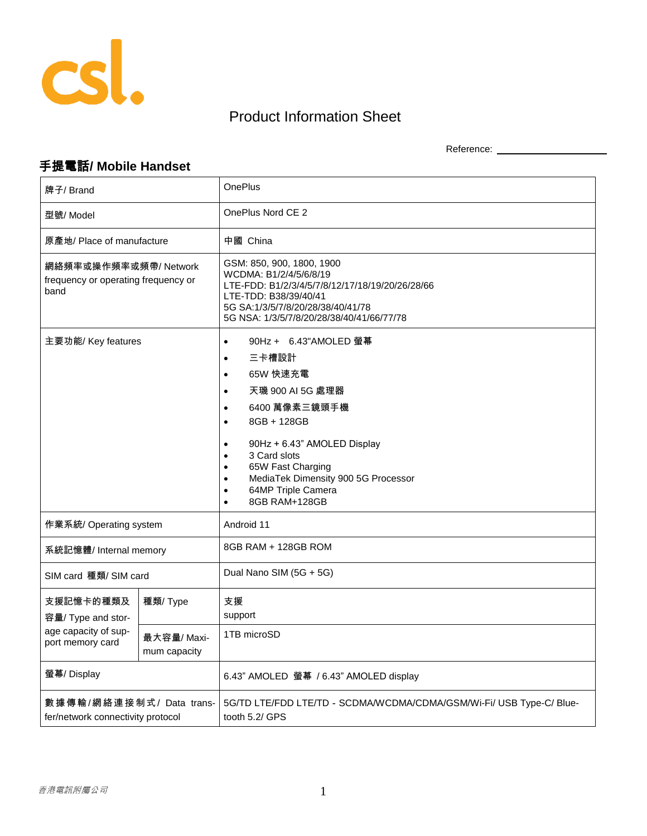

## Product Information Sheet

Reference: \_\_\_\_\_\_\_\_\_\_\_\_\_\_\_\_\_\_\_\_

## 手提電話**/ Mobile Handset**

| 牌子/ Brand                                                                   |                            | <b>OnePlus</b>                                                                                                                                                                                                                                                                                                                                                                          |
|-----------------------------------------------------------------------------|----------------------------|-----------------------------------------------------------------------------------------------------------------------------------------------------------------------------------------------------------------------------------------------------------------------------------------------------------------------------------------------------------------------------------------|
| 型號/Model                                                                    |                            | OnePlus Nord CE 2                                                                                                                                                                                                                                                                                                                                                                       |
| 原產地/ Place of manufacture                                                   |                            | 中國 China                                                                                                                                                                                                                                                                                                                                                                                |
| 網絡頻率或操作頻率或頻帶/ Network<br>frequency or operating frequency or<br>band        |                            | GSM: 850, 900, 1800, 1900<br>WCDMA: B1/2/4/5/6/8/19<br>LTE-FDD: B1/2/3/4/5/7/8/12/17/18/19/20/26/28/66<br>LTE-TDD: B38/39/40/41<br>5G SA:1/3/5/7/8/20/28/38/40/41/78<br>5G NSA: 1/3/5/7/8/20/28/38/40/41/66/77/78                                                                                                                                                                       |
| 主要功能/ Key features                                                          |                            | 90Hz + 6.43"AMOLED 螢幕<br>$\bullet$<br>三卡槽設計<br>$\bullet$<br>65W 快速充電<br>$\bullet$<br>天璣 900 AI 5G 處理器<br>$\bullet$<br>6400 萬像素三鏡頭手機<br>$\bullet$<br>8GB + 128GB<br>$\bullet$<br>90Hz + 6.43" AMOLED Display<br>$\bullet$<br>3 Card slots<br>٠<br>65W Fast Charging<br>$\bullet$<br>MediaTek Dimensity 900 5G Processor<br>$\bullet$<br>64MP Triple Camera<br>8GB RAM+128GB<br>$\bullet$ |
| 作業系統/ Operating system                                                      |                            | Android 11                                                                                                                                                                                                                                                                                                                                                                              |
| 系統記憶體/ Internal memory                                                      |                            | 8GB RAM + 128GB ROM                                                                                                                                                                                                                                                                                                                                                                     |
| SIM card 種類/ SIM card                                                       |                            | Dual Nano SIM (5G + 5G)                                                                                                                                                                                                                                                                                                                                                                 |
| 支援記憶卡的種類及<br>容量/ Type and stor-<br>age capacity of sup-<br>port memory card | 種類/Type                    | 支援<br>support                                                                                                                                                                                                                                                                                                                                                                           |
|                                                                             | 最大容量/Maxi-<br>mum capacity | 1TB microSD                                                                                                                                                                                                                                                                                                                                                                             |
| 螢幕/ Display                                                                 |                            | 6.43" AMOLED 螢幕 / 6.43" AMOLED display                                                                                                                                                                                                                                                                                                                                                  |
| 數據傳輸/網絡連接制式/ Data trans-<br>fer/network connectivity protocol               |                            | 5G/TD LTE/FDD LTE/TD - SCDMA/WCDMA/CDMA/GSM/Wi-Fi/ USB Type-C/ Blue-<br>tooth 5.2/ GPS                                                                                                                                                                                                                                                                                                  |